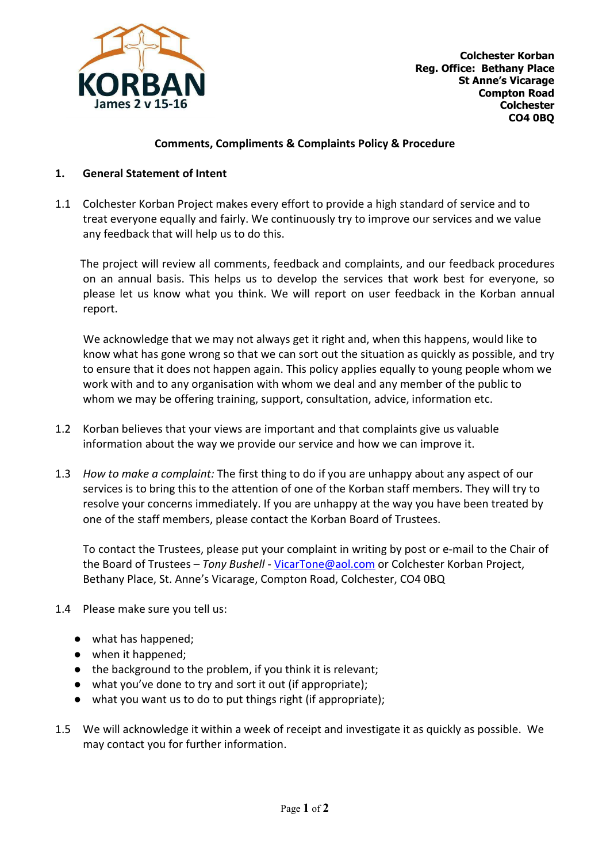

## Comments, Compliments & Complaints Policy & Procedure

## 1. General Statement of Intent

1.1 Colchester Korban Project makes every effort to provide a high standard of service and to treat everyone equally and fairly. We continuously try to improve our services and we value any feedback that will help us to do this.

 The project will review all comments, feedback and complaints, and our feedback procedures on an annual basis. This helps us to develop the services that work best for everyone, so please let us know what you think. We will report on user feedback in the Korban annual report.

 We acknowledge that we may not always get it right and, when this happens, would like to know what has gone wrong so that we can sort out the situation as quickly as possible, and try to ensure that it does not happen again. This policy applies equally to young people whom we work with and to any organisation with whom we deal and any member of the public to whom we may be offering training, support, consultation, advice, information etc.

- 1.2 Korban believes that your views are important and that complaints give us valuable information about the way we provide our service and how we can improve it.
- 1.3 How to make a complaint: The first thing to do if you are unhappy about any aspect of our services is to bring this to the attention of one of the Korban staff members. They will try to resolve your concerns immediately. If you are unhappy at the way you have been treated by one of the staff members, please contact the Korban Board of Trustees.

To contact the Trustees, please put your complaint in writing by post or e-mail to the Chair of the Board of Trustees - Tony Bushell - VicarTone@aol.com or Colchester Korban Project, Bethany Place, St. Anne's Vicarage, Compton Road, Colchester, CO4 0BQ

- 1.4 Please make sure you tell us:
	- what has happened;
	- when it happened;
	- the background to the problem, if you think it is relevant;
	- what you've done to try and sort it out (if appropriate);
	- what you want us to do to put things right (if appropriate);
- 1.5 We will acknowledge it within a week of receipt and investigate it as quickly as possible. We may contact you for further information.